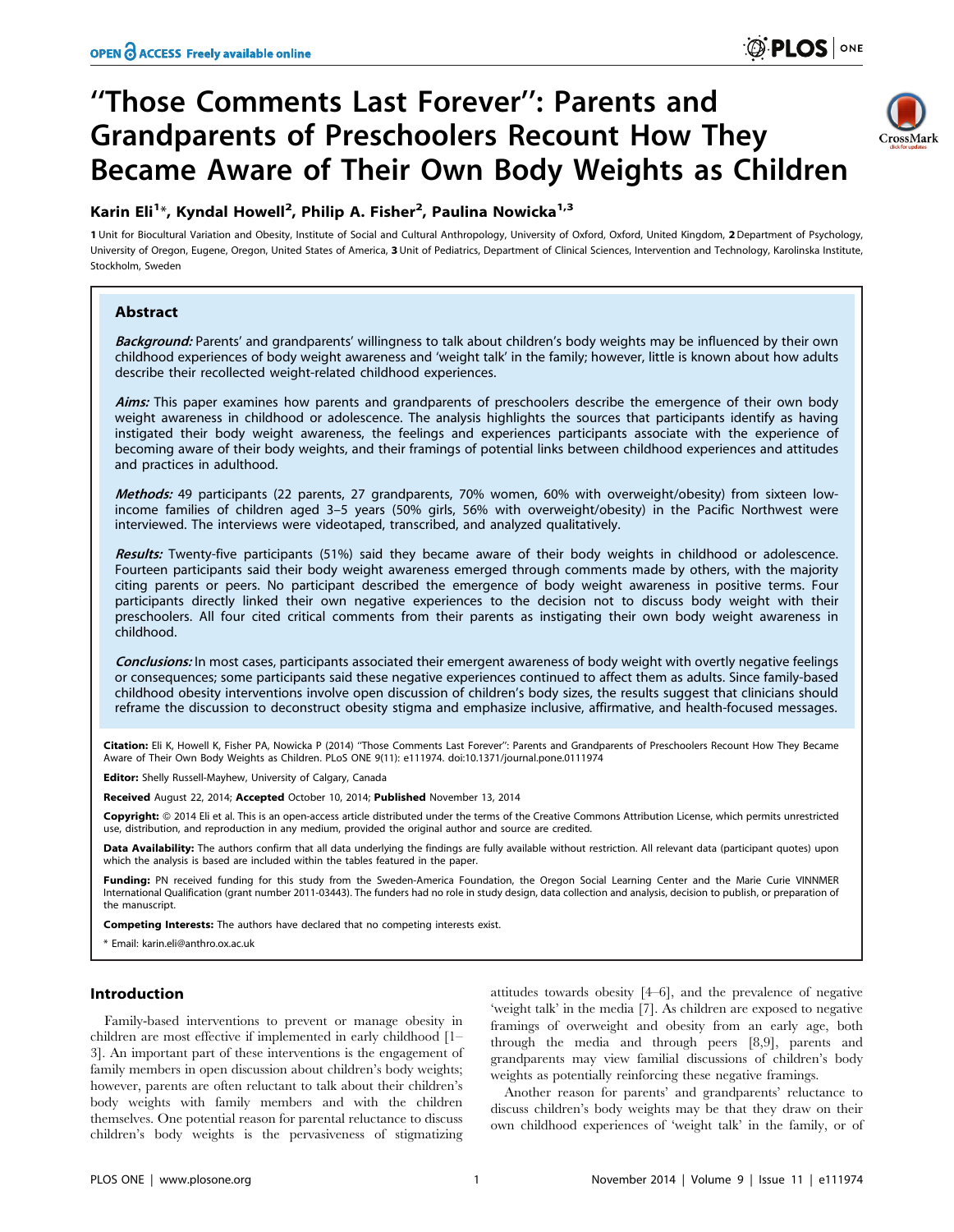# ''Those Comments Last Forever'': Parents and Grandparents of Preschoolers Recount How They Became Aware of Their Own Body Weights as Children

# Karin Eli<sup>1</sup>\*, Kyndal Howell<sup>2</sup>, Philip A. Fisher<sup>2</sup>, Paulina Nowicka<sup>1,3</sup>

1 Unit for Biocultural Variation and Obesity, Institute of Social and Cultural Anthropology, University of Oxford, Oxford, United Kingdom, 2 Department of Psychology, University of Oregon, Eugene, Oregon, United States of America, 3 Unit of Pediatrics, Department of Clinical Sciences, Intervention and Technology, Karolinska Institute, Stockholm, Sweden

# Abstract

Background: Parents' and grandparents' willingness to talk about children's body weights may be influenced by their own childhood experiences of body weight awareness and 'weight talk' in the family; however, little is known about how adults describe their recollected weight-related childhood experiences.

Aims: This paper examines how parents and grandparents of preschoolers describe the emergence of their own body weight awareness in childhood or adolescence. The analysis highlights the sources that participants identify as having instigated their body weight awareness, the feelings and experiences participants associate with the experience of becoming aware of their body weights, and their framings of potential links between childhood experiences and attitudes and practices in adulthood.

Methods: 49 participants (22 parents, 27 grandparents, 70% women, 60% with overweight/obesity) from sixteen lowincome families of children aged 3–5 years (50% girls, 56% with overweight/obesity) in the Pacific Northwest were interviewed. The interviews were videotaped, transcribed, and analyzed qualitatively.

Results: Twenty-five participants (51%) said they became aware of their body weights in childhood or adolescence. Fourteen participants said their body weight awareness emerged through comments made by others, with the majority citing parents or peers. No participant described the emergence of body weight awareness in positive terms. Four participants directly linked their own negative experiences to the decision not to discuss body weight with their preschoolers. All four cited critical comments from their parents as instigating their own body weight awareness in childhood.

Conclusions: In most cases, participants associated their emergent awareness of body weight with overtly negative feelings or consequences; some participants said these negative experiences continued to affect them as adults. Since family-based childhood obesity interventions involve open discussion of children's body sizes, the results suggest that clinicians should reframe the discussion to deconstruct obesity stigma and emphasize inclusive, affirmative, and health-focused messages.

Citation: Eli K, Howell K, Fisher PA, Nowicka P (2014) ''Those Comments Last Forever'': Parents and Grandparents of Preschoolers Recount How They Became Aware of Their Own Body Weights as Children. PLoS ONE 9(11): e111974. doi:10.1371/journal.pone.0111974

Editor: Shelly Russell-Mayhew, University of Calgary, Canada

Received August 22, 2014; Accepted October 10, 2014; Published November 13, 2014

**Copyright:** © 2014 Eli et al. This is an open-access article distributed under the terms of the [Creative Commons Attribution License](http://creativecommons.org/licenses/by/4.0/), which permits unrestricted use, distribution, and reproduction in any medium, provided the original author and source are credited.

Data Availability: The authors confirm that all data underlying the findings are fully available without restriction. All relevant data (participant quotes) upon which the analysis is based are included within the tables featured in the paper.

Funding: PN received funding for this study from the Sweden-America Foundation, the Oregon Social Learning Center and the Marie Curie VINNMER International Qualification (grant number 2011-03443). The funders had no role in study design, data collection and analysis, decision to publish, or preparation of the manuscript.

Competing Interests: The authors have declared that no competing interests exist.

\* Email: karin.eli@anthro.ox.ac.uk

## Introduction

Family-based interventions to prevent or manage obesity in children are most effective if implemented in early childhood [1– 3]. An important part of these interventions is the engagement of family members in open discussion about children's body weights; however, parents are often reluctant to talk about their children's body weights with family members and with the children themselves. One potential reason for parental reluctance to discuss children's body weights is the pervasiveness of stigmatizing

attitudes towards obesity [4–6], and the prevalence of negative 'weight talk' in the media [7]. As children are exposed to negative framings of overweight and obesity from an early age, both through the media and through peers [8,9], parents and grandparents may view familial discussions of children's body weights as potentially reinforcing these negative framings.

Another reason for parents' and grandparents' reluctance to discuss children's body weights may be that they draw on their own childhood experiences of 'weight talk' in the family, or of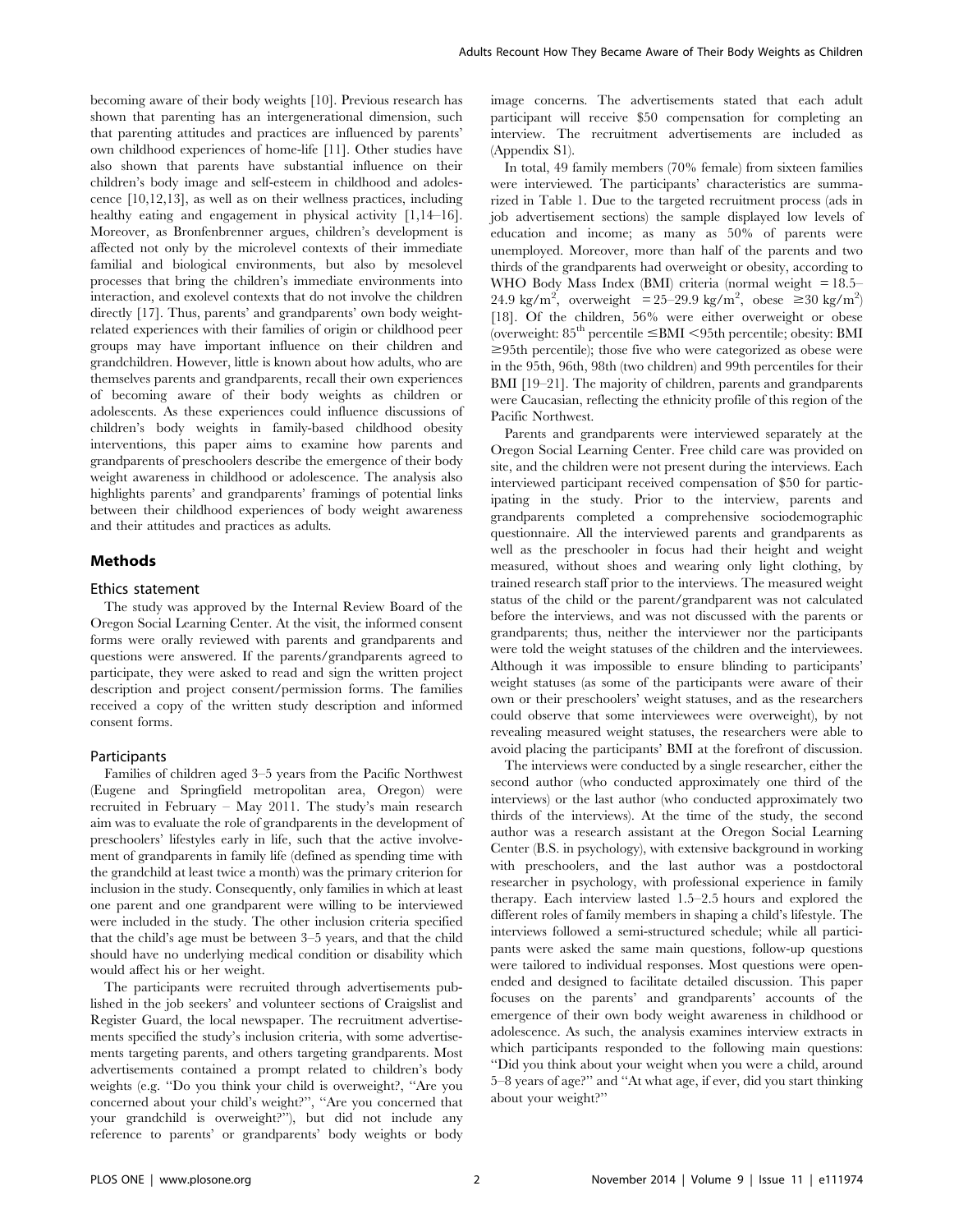becoming aware of their body weights [10]. Previous research has shown that parenting has an intergenerational dimension, such that parenting attitudes and practices are influenced by parents' own childhood experiences of home-life [11]. Other studies have also shown that parents have substantial influence on their children's body image and self-esteem in childhood and adolescence [10,12,13], as well as on their wellness practices, including healthy eating and engagement in physical activity  $[1,14-16]$ . Moreover, as Bronfenbrenner argues, children's development is affected not only by the microlevel contexts of their immediate familial and biological environments, but also by mesolevel processes that bring the children's immediate environments into interaction, and exolevel contexts that do not involve the children directly [17]. Thus, parents' and grandparents' own body weightrelated experiences with their families of origin or childhood peer groups may have important influence on their children and grandchildren. However, little is known about how adults, who are themselves parents and grandparents, recall their own experiences of becoming aware of their body weights as children or adolescents. As these experiences could influence discussions of children's body weights in family-based childhood obesity interventions, this paper aims to examine how parents and grandparents of preschoolers describe the emergence of their body weight awareness in childhood or adolescence. The analysis also highlights parents' and grandparents' framings of potential links between their childhood experiences of body weight awareness and their attitudes and practices as adults.

#### Methods

#### Ethics statement

The study was approved by the Internal Review Board of the Oregon Social Learning Center. At the visit, the informed consent forms were orally reviewed with parents and grandparents and questions were answered. If the parents/grandparents agreed to participate, they were asked to read and sign the written project description and project consent/permission forms. The families received a copy of the written study description and informed consent forms.

## Participants

Families of children aged 3–5 years from the Pacific Northwest (Eugene and Springfield metropolitan area, Oregon) were recruited in February – May 2011. The study's main research aim was to evaluate the role of grandparents in the development of preschoolers' lifestyles early in life, such that the active involvement of grandparents in family life (defined as spending time with the grandchild at least twice a month) was the primary criterion for inclusion in the study. Consequently, only families in which at least one parent and one grandparent were willing to be interviewed were included in the study. The other inclusion criteria specified that the child's age must be between 3–5 years, and that the child should have no underlying medical condition or disability which would affect his or her weight.

The participants were recruited through advertisements published in the job seekers' and volunteer sections of Craigslist and Register Guard, the local newspaper. The recruitment advertisements specified the study's inclusion criteria, with some advertisements targeting parents, and others targeting grandparents. Most advertisements contained a prompt related to children's body weights (e.g. ''Do you think your child is overweight?, ''Are you concerned about your child's weight?'', ''Are you concerned that your grandchild is overweight?''), but did not include any reference to parents' or grandparents' body weights or body image concerns. The advertisements stated that each adult participant will receive \$50 compensation for completing an interview. The recruitment advertisements are included as (Appendix S1).

In total, 49 family members (70% female) from sixteen families were interviewed. The participants' characteristics are summarized in Table 1. Due to the targeted recruitment process (ads in job advertisement sections) the sample displayed low levels of education and income; as many as 50% of parents were unemployed. Moreover, more than half of the parents and two thirds of the grandparents had overweight or obesity, according to WHO Body Mass Index (BMI) criteria (normal weight = 18.5– 24.9 kg/m<sup>2</sup>, overweight = 25-29.9 kg/m<sup>2</sup>, obese  $\geq 30$  kg/m<sup>2</sup>) [18]. Of the children, 56% were either overweight or obese (overweight:  $85<sup>th</sup>$  percentile  $\leq$ BMI  $\lt$ 95th percentile; obesity: BMI  $\geq$ 95th percentile); those five who were categorized as obese were in the 95th, 96th, 98th (two children) and 99th percentiles for their BMI [19–21]. The majority of children, parents and grandparents were Caucasian, reflecting the ethnicity profile of this region of the Pacific Northwest.

Parents and grandparents were interviewed separately at the Oregon Social Learning Center. Free child care was provided on site, and the children were not present during the interviews. Each interviewed participant received compensation of \$50 for participating in the study. Prior to the interview, parents and grandparents completed a comprehensive sociodemographic questionnaire. All the interviewed parents and grandparents as well as the preschooler in focus had their height and weight measured, without shoes and wearing only light clothing, by trained research staff prior to the interviews. The measured weight status of the child or the parent/grandparent was not calculated before the interviews, and was not discussed with the parents or grandparents; thus, neither the interviewer nor the participants were told the weight statuses of the children and the interviewees. Although it was impossible to ensure blinding to participants' weight statuses (as some of the participants were aware of their own or their preschoolers' weight statuses, and as the researchers could observe that some interviewees were overweight), by not revealing measured weight statuses, the researchers were able to avoid placing the participants' BMI at the forefront of discussion.

The interviews were conducted by a single researcher, either the second author (who conducted approximately one third of the interviews) or the last author (who conducted approximately two thirds of the interviews). At the time of the study, the second author was a research assistant at the Oregon Social Learning Center (B.S. in psychology), with extensive background in working with preschoolers, and the last author was a postdoctoral researcher in psychology, with professional experience in family therapy. Each interview lasted 1.5–2.5 hours and explored the different roles of family members in shaping a child's lifestyle. The interviews followed a semi-structured schedule; while all participants were asked the same main questions, follow-up questions were tailored to individual responses. Most questions were openended and designed to facilitate detailed discussion. This paper focuses on the parents' and grandparents' accounts of the emergence of their own body weight awareness in childhood or adolescence. As such, the analysis examines interview extracts in which participants responded to the following main questions: ''Did you think about your weight when you were a child, around 5–8 years of age?'' and ''At what age, if ever, did you start thinking about your weight?''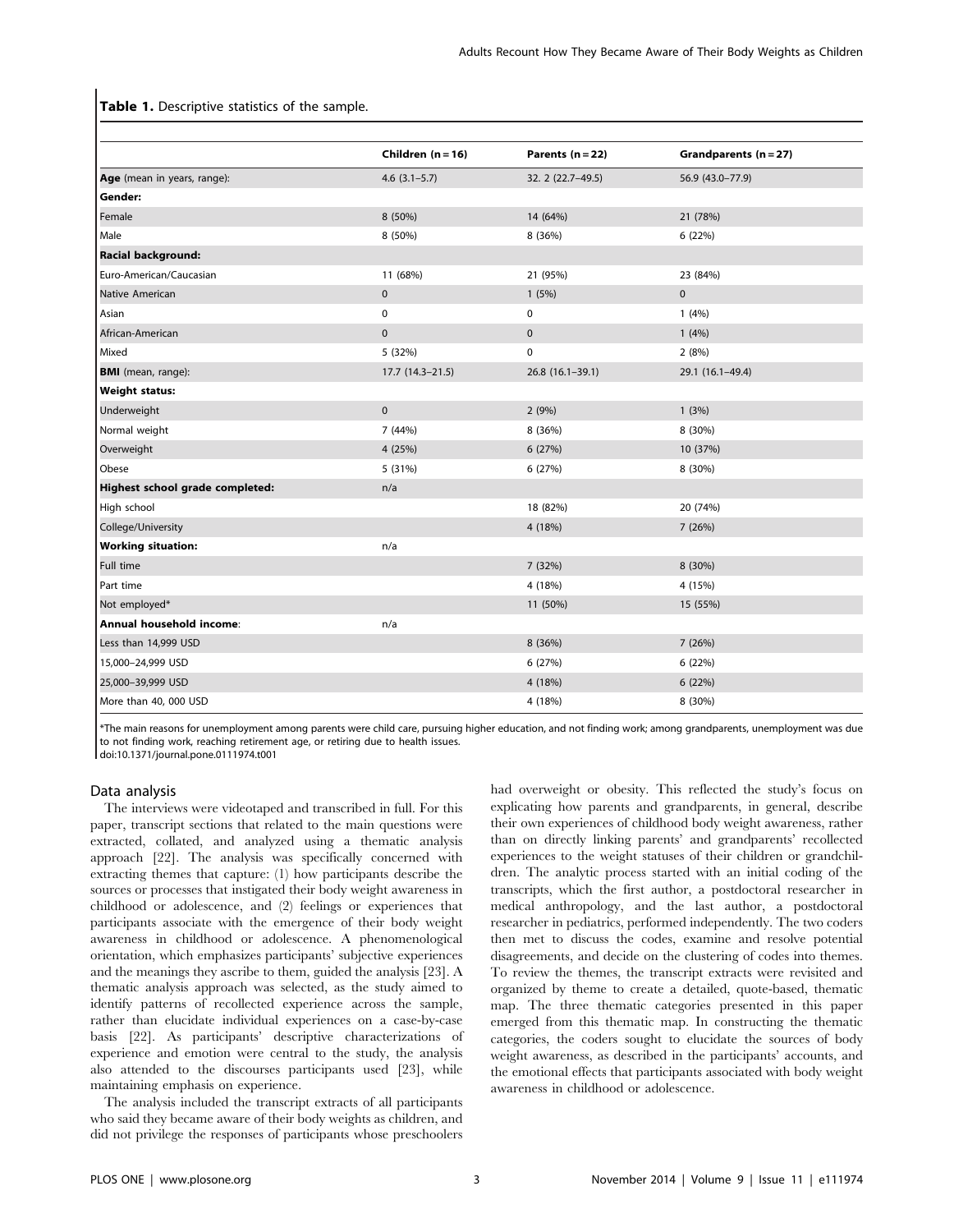#### Table 1. Descriptive statistics of the sample.

|                                 | Children $(n = 16)$ | Parents $(n = 22)$ | Grandparents (n = 27) |
|---------------------------------|---------------------|--------------------|-----------------------|
| Age (mean in years, range):     | $4.6$ (3.1-5.7)     | 32. 2 (22.7-49.5)  | 56.9 (43.0-77.9)      |
| Gender:                         |                     |                    |                       |
| Female                          | 8 (50%)             | 14 (64%)           | 21 (78%)              |
| Male                            | 8 (50%)             | 8 (36%)            | 6 (22%)               |
| Racial background:              |                     |                    |                       |
| Euro-American/Caucasian         | 11 (68%)            | 21 (95%)           | 23 (84%)              |
| Native American                 | $\mathbf 0$         | 1(5%)              | $\mathbf 0$           |
| Asian                           | $\mathbf 0$         | 0                  | 1(4%)                 |
| African-American                | $\pmb{0}$           | $\mathbf 0$        | 1(4%)                 |
| Mixed                           | 5 (32%)             | 0                  | 2(8%)                 |
| <b>BMI</b> (mean, range):       | $17.7(14.3-21.5)$   | $26.8(16.1-39.1)$  | 29.1 (16.1-49.4)      |
| <b>Weight status:</b>           |                     |                    |                       |
| Underweight                     | $\mathbf 0$         | 2(9%)              | 1(3%)                 |
| Normal weight                   | 7 (44%)             | 8 (36%)            | 8 (30%)               |
| Overweight                      | 4 (25%)             | 6 (27%)            | 10 (37%)              |
| Obese                           | 5 (31%)             | 6(27%)             | 8 (30%)               |
| Highest school grade completed: | n/a                 |                    |                       |
| High school                     |                     | 18 (82%)           | 20 (74%)              |
| College/University              |                     | 4 (18%)            | 7(26%)                |
| <b>Working situation:</b>       | n/a                 |                    |                       |
| Full time                       |                     | 7 (32%)            | 8 (30%)               |
| Part time                       |                     | 4 (18%)            | 4 (15%)               |
| Not employed*                   |                     | 11 (50%)           | 15 (55%)              |
| Annual household income:        | n/a                 |                    |                       |
| Less than 14,999 USD            |                     | 8 (36%)            | 7(26%)                |
| 15,000-24,999 USD               |                     | 6(27%)             | 6 (22%)               |
| 25,000-39,999 USD               |                     | 4 (18%)            | 6 (22%)               |
| More than 40, 000 USD           |                     | 4 (18%)            | 8 (30%)               |

\*The main reasons for unemployment among parents were child care, pursuing higher education, and not finding work; among grandparents, unemployment was due to not finding work, reaching retirement age, or retiring due to health issues.

doi:10.1371/journal.pone.0111974.t001

#### Data analysis

The interviews were videotaped and transcribed in full. For this paper, transcript sections that related to the main questions were extracted, collated, and analyzed using a thematic analysis approach [22]. The analysis was specifically concerned with extracting themes that capture: (1) how participants describe the sources or processes that instigated their body weight awareness in childhood or adolescence, and (2) feelings or experiences that participants associate with the emergence of their body weight awareness in childhood or adolescence. A phenomenological orientation, which emphasizes participants' subjective experiences and the meanings they ascribe to them, guided the analysis [23]. A thematic analysis approach was selected, as the study aimed to identify patterns of recollected experience across the sample, rather than elucidate individual experiences on a case-by-case basis [22]. As participants' descriptive characterizations of experience and emotion were central to the study, the analysis also attended to the discourses participants used [23], while maintaining emphasis on experience.

The analysis included the transcript extracts of all participants who said they became aware of their body weights as children, and did not privilege the responses of participants whose preschoolers had overweight or obesity. This reflected the study's focus on explicating how parents and grandparents, in general, describe their own experiences of childhood body weight awareness, rather than on directly linking parents' and grandparents' recollected experiences to the weight statuses of their children or grandchildren. The analytic process started with an initial coding of the transcripts, which the first author, a postdoctoral researcher in medical anthropology, and the last author, a postdoctoral researcher in pediatrics, performed independently. The two coders then met to discuss the codes, examine and resolve potential disagreements, and decide on the clustering of codes into themes. To review the themes, the transcript extracts were revisited and organized by theme to create a detailed, quote-based, thematic map. The three thematic categories presented in this paper emerged from this thematic map. In constructing the thematic categories, the coders sought to elucidate the sources of body weight awareness, as described in the participants' accounts, and the emotional effects that participants associated with body weight awareness in childhood or adolescence.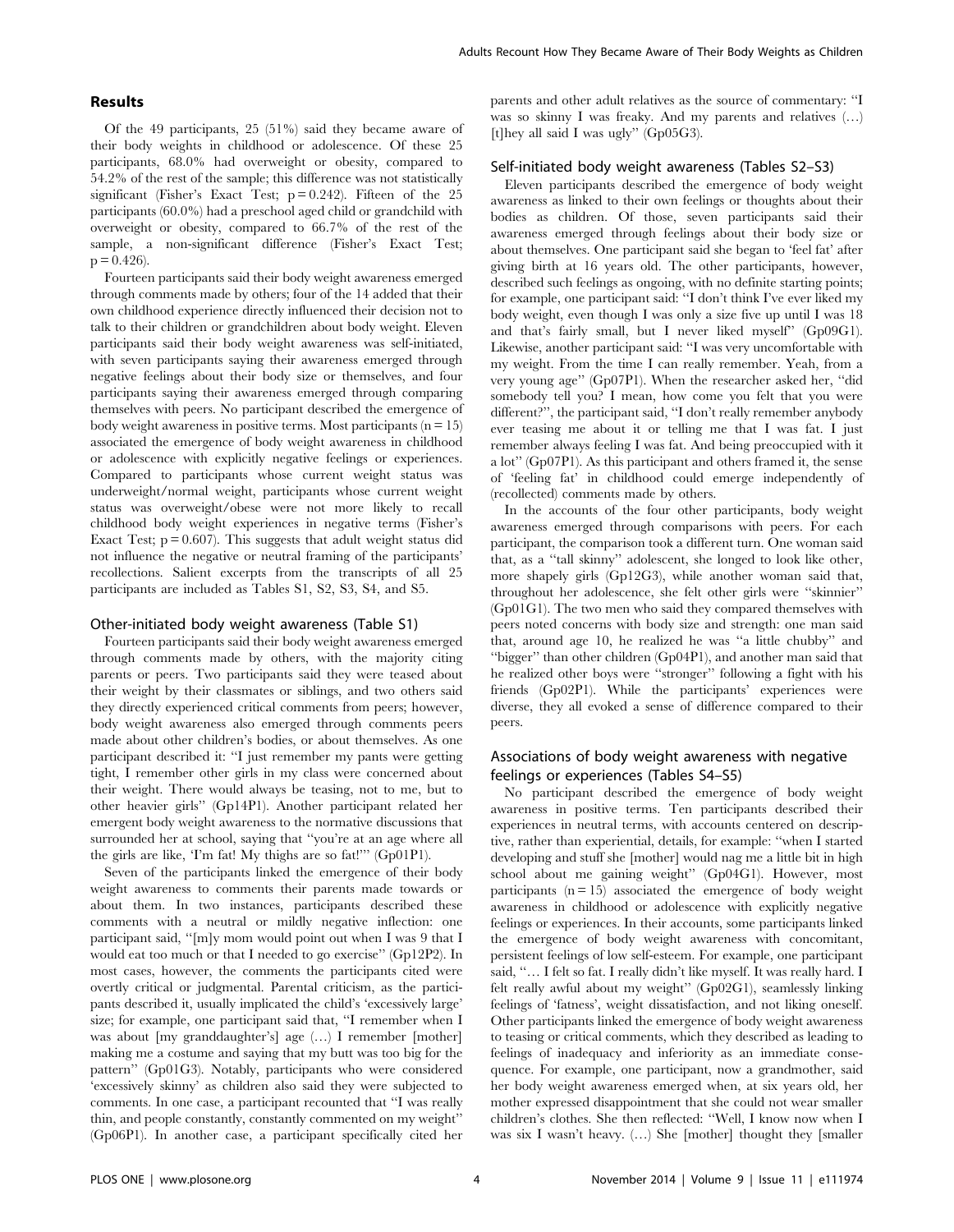## Results

Of the 49 participants, 25 (51%) said they became aware of their body weights in childhood or adolescence. Of these 25 participants, 68.0% had overweight or obesity, compared to 54.2% of the rest of the sample; this difference was not statistically significant (Fisher's Exact Test;  $p = 0.242$ ). Fifteen of the 25 participants (60.0%) had a preschool aged child or grandchild with overweight or obesity, compared to 66.7% of the rest of the sample, a non-significant difference (Fisher's Exact Test;  $p = 0.426$ .

Fourteen participants said their body weight awareness emerged through comments made by others; four of the 14 added that their own childhood experience directly influenced their decision not to talk to their children or grandchildren about body weight. Eleven participants said their body weight awareness was self-initiated, with seven participants saying their awareness emerged through negative feelings about their body size or themselves, and four participants saying their awareness emerged through comparing themselves with peers. No participant described the emergence of body weight awareness in positive terms. Most participants  $(n = 15)$ associated the emergence of body weight awareness in childhood or adolescence with explicitly negative feelings or experiences. Compared to participants whose current weight status was underweight/normal weight, participants whose current weight status was overweight/obese were not more likely to recall childhood body weight experiences in negative terms (Fisher's Exact Test;  $p = 0.607$ ). This suggests that adult weight status did not influence the negative or neutral framing of the participants' recollections. Salient excerpts from the transcripts of all 25 participants are included as Tables S1, S2, S3, S4, and S5.

#### Other-initiated body weight awareness (Table S1)

Fourteen participants said their body weight awareness emerged through comments made by others, with the majority citing parents or peers. Two participants said they were teased about their weight by their classmates or siblings, and two others said they directly experienced critical comments from peers; however, body weight awareness also emerged through comments peers made about other children's bodies, or about themselves. As one participant described it: ''I just remember my pants were getting tight, I remember other girls in my class were concerned about their weight. There would always be teasing, not to me, but to other heavier girls'' (Gp14P1). Another participant related her emergent body weight awareness to the normative discussions that surrounded her at school, saying that ''you're at an age where all the girls are like, 'I'm fat! My thighs are so fat!''' (Gp01P1).

Seven of the participants linked the emergence of their body weight awareness to comments their parents made towards or about them. In two instances, participants described these comments with a neutral or mildly negative inflection: one participant said, ''[m]y mom would point out when I was 9 that I would eat too much or that I needed to go exercise'' (Gp12P2). In most cases, however, the comments the participants cited were overtly critical or judgmental. Parental criticism, as the participants described it, usually implicated the child's 'excessively large' size; for example, one participant said that, ''I remember when I was about [my granddaughter's] age (…) I remember [mother] making me a costume and saying that my butt was too big for the pattern'' (Gp01G3). Notably, participants who were considered 'excessively skinny' as children also said they were subjected to comments. In one case, a participant recounted that ''I was really thin, and people constantly, constantly commented on my weight'' (Gp06P1). In another case, a participant specifically cited her parents and other adult relatives as the source of commentary: ''I was so skinny I was freaky. And my parents and relatives (…) [t]hey all said I was ugly'' (Gp05G3).

## Self-initiated body weight awareness (Tables S2–S3)

Eleven participants described the emergence of body weight awareness as linked to their own feelings or thoughts about their bodies as children. Of those, seven participants said their awareness emerged through feelings about their body size or about themselves. One participant said she began to 'feel fat' after giving birth at 16 years old. The other participants, however, described such feelings as ongoing, with no definite starting points; for example, one participant said: ''I don't think I've ever liked my body weight, even though I was only a size five up until I was 18 and that's fairly small, but I never liked myself'' (Gp09G1). Likewise, another participant said: ''I was very uncomfortable with my weight. From the time I can really remember. Yeah, from a very young age'' (Gp07P1). When the researcher asked her, ''did somebody tell you? I mean, how come you felt that you were different?'', the participant said, ''I don't really remember anybody ever teasing me about it or telling me that I was fat. I just remember always feeling I was fat. And being preoccupied with it a lot'' (Gp07P1). As this participant and others framed it, the sense of 'feeling fat' in childhood could emerge independently of (recollected) comments made by others.

In the accounts of the four other participants, body weight awareness emerged through comparisons with peers. For each participant, the comparison took a different turn. One woman said that, as a ''tall skinny'' adolescent, she longed to look like other, more shapely girls (Gp12G3), while another woman said that, throughout her adolescence, she felt other girls were ''skinnier'' (Gp01G1). The two men who said they compared themselves with peers noted concerns with body size and strength: one man said that, around age 10, he realized he was ''a little chubby'' and ''bigger'' than other children (Gp04P1), and another man said that he realized other boys were ''stronger'' following a fight with his friends (Gp02P1). While the participants' experiences were diverse, they all evoked a sense of difference compared to their peers.

## Associations of body weight awareness with negative feelings or experiences (Tables S4–S5)

No participant described the emergence of body weight awareness in positive terms. Ten participants described their experiences in neutral terms, with accounts centered on descriptive, rather than experiential, details, for example: ''when I started developing and stuff she [mother] would nag me a little bit in high school about me gaining weight'' (Gp04G1). However, most participants  $(n = 15)$  associated the emergence of body weight awareness in childhood or adolescence with explicitly negative feelings or experiences. In their accounts, some participants linked the emergence of body weight awareness with concomitant, persistent feelings of low self-esteem. For example, one participant said, ''… I felt so fat. I really didn't like myself. It was really hard. I felt really awful about my weight'' (Gp02G1), seamlessly linking feelings of 'fatness', weight dissatisfaction, and not liking oneself. Other participants linked the emergence of body weight awareness to teasing or critical comments, which they described as leading to feelings of inadequacy and inferiority as an immediate consequence. For example, one participant, now a grandmother, said her body weight awareness emerged when, at six years old, her mother expressed disappointment that she could not wear smaller children's clothes. She then reflected: ''Well, I know now when I was six I wasn't heavy. (…) She [mother] thought they [smaller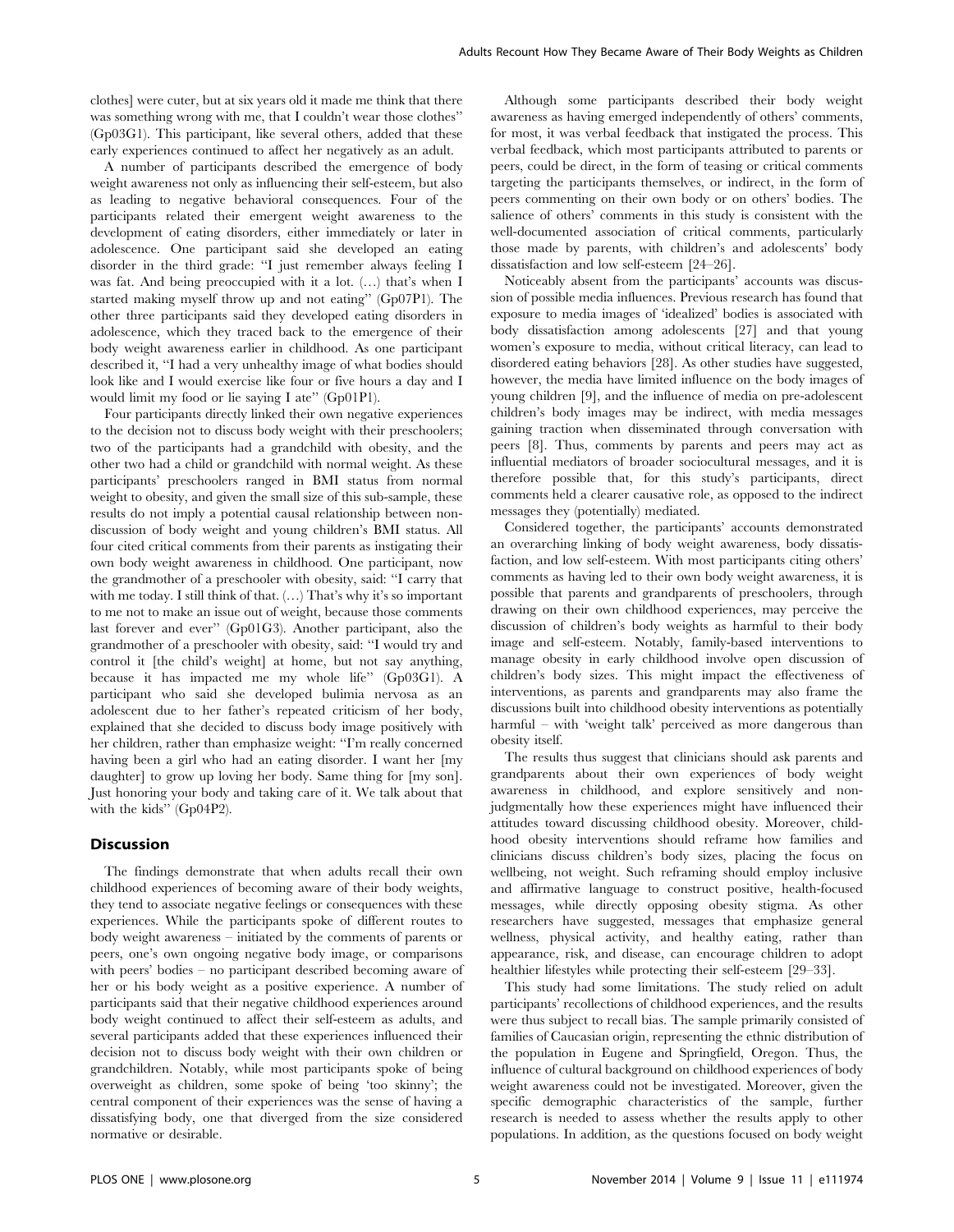clothes] were cuter, but at six years old it made me think that there was something wrong with me, that I couldn't wear those clothes'' (Gp03G1). This participant, like several others, added that these early experiences continued to affect her negatively as an adult.

A number of participants described the emergence of body weight awareness not only as influencing their self-esteem, but also as leading to negative behavioral consequences. Four of the participants related their emergent weight awareness to the development of eating disorders, either immediately or later in adolescence. One participant said she developed an eating disorder in the third grade: ''I just remember always feeling I was fat. And being preoccupied with it a lot. (…) that's when I started making myself throw up and not eating'' (Gp07P1). The other three participants said they developed eating disorders in adolescence, which they traced back to the emergence of their body weight awareness earlier in childhood. As one participant described it, ''I had a very unhealthy image of what bodies should look like and I would exercise like four or five hours a day and I would limit my food or lie saying I ate'' (Gp01P1).

Four participants directly linked their own negative experiences to the decision not to discuss body weight with their preschoolers; two of the participants had a grandchild with obesity, and the other two had a child or grandchild with normal weight. As these participants' preschoolers ranged in BMI status from normal weight to obesity, and given the small size of this sub-sample, these results do not imply a potential causal relationship between nondiscussion of body weight and young children's BMI status. All four cited critical comments from their parents as instigating their own body weight awareness in childhood. One participant, now the grandmother of a preschooler with obesity, said: ''I carry that with me today. I still think of that. (…) That's why it's so important to me not to make an issue out of weight, because those comments last forever and ever'' (Gp01G3). Another participant, also the grandmother of a preschooler with obesity, said: ''I would try and control it [the child's weight] at home, but not say anything, because it has impacted me my whole life'' (Gp03G1). A participant who said she developed bulimia nervosa as an adolescent due to her father's repeated criticism of her body, explained that she decided to discuss body image positively with her children, rather than emphasize weight: ''I'm really concerned having been a girl who had an eating disorder. I want her [my daughter] to grow up loving her body. Same thing for [my son]. Just honoring your body and taking care of it. We talk about that with the kids'' (Gp04P2).

## **Discussion**

The findings demonstrate that when adults recall their own childhood experiences of becoming aware of their body weights, they tend to associate negative feelings or consequences with these experiences. While the participants spoke of different routes to body weight awareness – initiated by the comments of parents or peers, one's own ongoing negative body image, or comparisons with peers' bodies – no participant described becoming aware of her or his body weight as a positive experience. A number of participants said that their negative childhood experiences around body weight continued to affect their self-esteem as adults, and several participants added that these experiences influenced their decision not to discuss body weight with their own children or grandchildren. Notably, while most participants spoke of being overweight as children, some spoke of being 'too skinny'; the central component of their experiences was the sense of having a dissatisfying body, one that diverged from the size considered normative or desirable.

Although some participants described their body weight awareness as having emerged independently of others' comments, for most, it was verbal feedback that instigated the process. This verbal feedback, which most participants attributed to parents or peers, could be direct, in the form of teasing or critical comments targeting the participants themselves, or indirect, in the form of peers commenting on their own body or on others' bodies. The salience of others' comments in this study is consistent with the well-documented association of critical comments, particularly those made by parents, with children's and adolescents' body dissatisfaction and low self-esteem [24–26].

Noticeably absent from the participants' accounts was discussion of possible media influences. Previous research has found that exposure to media images of 'idealized' bodies is associated with body dissatisfaction among adolescents [27] and that young women's exposure to media, without critical literacy, can lead to disordered eating behaviors [28]. As other studies have suggested, however, the media have limited influence on the body images of young children [9], and the influence of media on pre-adolescent children's body images may be indirect, with media messages gaining traction when disseminated through conversation with peers [8]. Thus, comments by parents and peers may act as influential mediators of broader sociocultural messages, and it is therefore possible that, for this study's participants, direct comments held a clearer causative role, as opposed to the indirect messages they (potentially) mediated.

Considered together, the participants' accounts demonstrated an overarching linking of body weight awareness, body dissatisfaction, and low self-esteem. With most participants citing others' comments as having led to their own body weight awareness, it is possible that parents and grandparents of preschoolers, through drawing on their own childhood experiences, may perceive the discussion of children's body weights as harmful to their body image and self-esteem. Notably, family-based interventions to manage obesity in early childhood involve open discussion of children's body sizes. This might impact the effectiveness of interventions, as parents and grandparents may also frame the discussions built into childhood obesity interventions as potentially harmful – with 'weight talk' perceived as more dangerous than obesity itself.

The results thus suggest that clinicians should ask parents and grandparents about their own experiences of body weight awareness in childhood, and explore sensitively and nonjudgmentally how these experiences might have influenced their attitudes toward discussing childhood obesity. Moreover, childhood obesity interventions should reframe how families and clinicians discuss children's body sizes, placing the focus on wellbeing, not weight. Such reframing should employ inclusive and affirmative language to construct positive, health-focused messages, while directly opposing obesity stigma. As other researchers have suggested, messages that emphasize general wellness, physical activity, and healthy eating, rather than appearance, risk, and disease, can encourage children to adopt healthier lifestyles while protecting their self-esteem [29–33].

This study had some limitations. The study relied on adult participants' recollections of childhood experiences, and the results were thus subject to recall bias. The sample primarily consisted of families of Caucasian origin, representing the ethnic distribution of the population in Eugene and Springfield, Oregon. Thus, the influence of cultural background on childhood experiences of body weight awareness could not be investigated. Moreover, given the specific demographic characteristics of the sample, further research is needed to assess whether the results apply to other populations. In addition, as the questions focused on body weight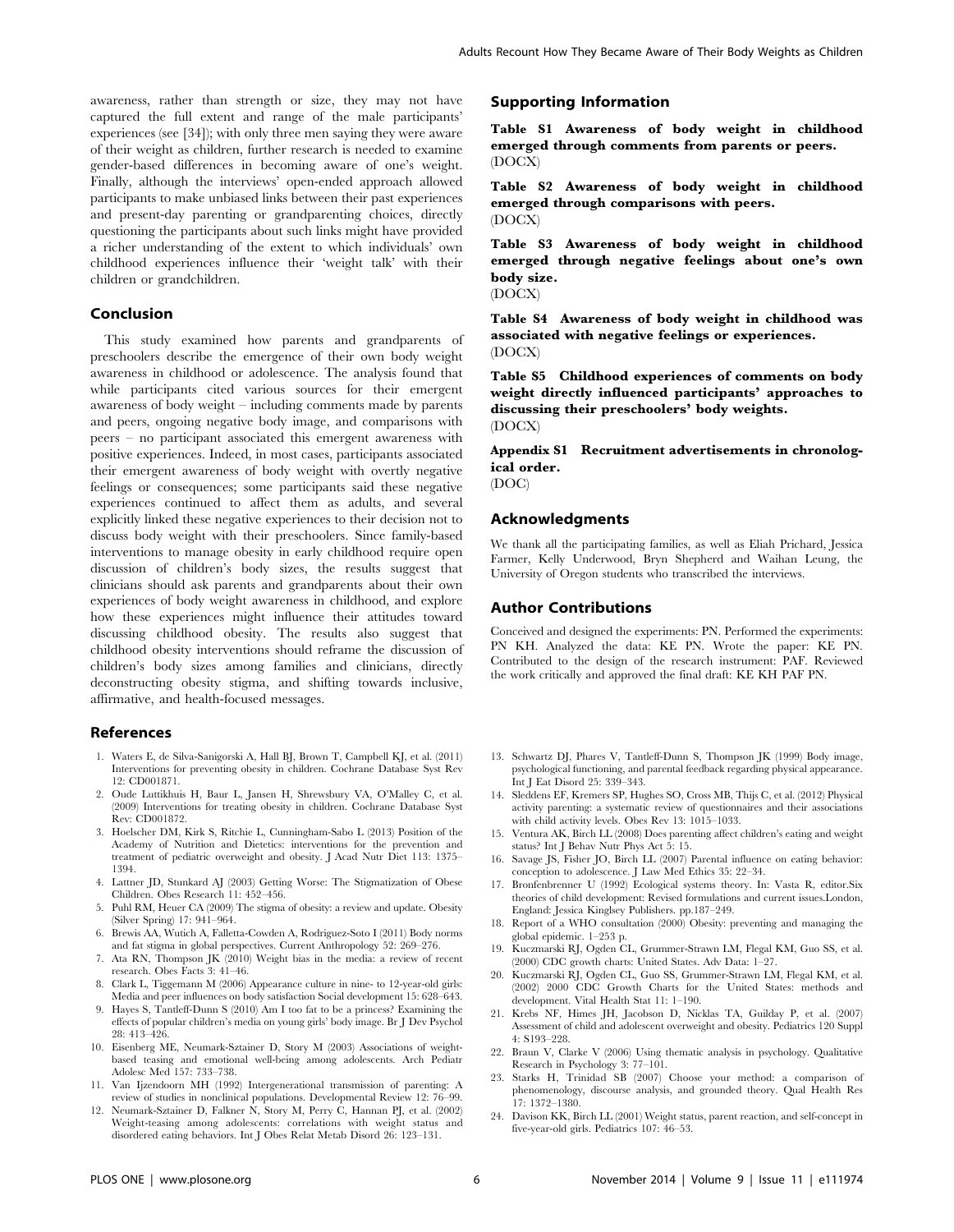awareness, rather than strength or size, they may not have captured the full extent and range of the male participants' experiences (see [34]); with only three men saying they were aware of their weight as children, further research is needed to examine gender-based differences in becoming aware of one's weight. Finally, although the interviews' open-ended approach allowed participants to make unbiased links between their past experiences and present-day parenting or grandparenting choices, directly questioning the participants about such links might have provided a richer understanding of the extent to which individuals' own childhood experiences influence their 'weight talk' with their children or grandchildren.

## Conclusion

This study examined how parents and grandparents of preschoolers describe the emergence of their own body weight awareness in childhood or adolescence. The analysis found that while participants cited various sources for their emergent awareness of body weight – including comments made by parents and peers, ongoing negative body image, and comparisons with peers – no participant associated this emergent awareness with positive experiences. Indeed, in most cases, participants associated their emergent awareness of body weight with overtly negative feelings or consequences; some participants said these negative experiences continued to affect them as adults, and several explicitly linked these negative experiences to their decision not to discuss body weight with their preschoolers. Since family-based interventions to manage obesity in early childhood require open discussion of children's body sizes, the results suggest that clinicians should ask parents and grandparents about their own experiences of body weight awareness in childhood, and explore how these experiences might influence their attitudes toward discussing childhood obesity. The results also suggest that childhood obesity interventions should reframe the discussion of children's body sizes among families and clinicians, directly deconstructing obesity stigma, and shifting towards inclusive, affirmative, and health-focused messages.

#### References

- 1. Waters E, de Silva-Sanigorski A, Hall BJ, Brown T, Campbell KJ, et al. (2011) Interventions for preventing obesity in children. Cochrane Database Syst Rev 12: CD001871.
- 2. Oude Luttikhuis H, Baur L, Jansen H, Shrewsbury VA, O'Malley C, et al. (2009) Interventions for treating obesity in children. Cochrane Database Syst Rev: CD001872.
- 3. Hoelscher DM, Kirk S, Ritchie L, Cunningham-Sabo L (2013) Position of the Academy of Nutrition and Dietetics: interventions for the prevention and treatment of pediatric overweight and obesity. J Acad Nutr Diet 113: 1375– 1394.
- 4. Lattner JD, Stunkard AJ (2003) Getting Worse: The Stigmatization of Obese Children. Obes Research 11: 452–456.
- 5. Puhl RM, Heuer CA (2009) The stigma of obesity: a review and update. Obesity (Silver Spring) 17: 941–964.
- 6. Brewis AA, Wutich A, Falletta-Cowden A, Rodriguez-Soto I (2011) Body norms and fat stigma in global perspectives. Current Anthropology 52: 269–276.
- 7. Ata RN, Thompson JK (2010) Weight bias in the media: a review of recent research. Obes Facts 3: 41–46.
- 8. Clark L, Tiggemann M (2006) Appearance culture in nine- to 12-year-old girls: Media and peer influences on body satisfaction Social development 15: 628–643.
- 9. Hayes S, Tantleff-Dunn S (2010) Am I too fat to be a princess? Examining the effects of popular children's media on young girls' body image. Br J Dev Psychol 28: 413–426.
- 10. Eisenberg ME, Neumark-Sztainer D, Story M (2003) Associations of weightbased teasing and emotional well-being among adolescents. Arch Pediatr Adolesc Med 157: 733–738.
- 11. Van Ijzendoorn MH (1992) Intergenerational transmission of parenting: A review of studies in nonclinical populations. Developmental Review 12: 76–99.
- 12. Neumark-Sztainer D, Falkner N, Story M, Perry C, Hannan PJ, et al. (2002) Weight-teasing among adolescents: correlations with weight status and disordered eating behaviors. Int J Obes Relat Metab Disord 26: 123–131.

### Supporting Information

Table S1 Awareness of body weight in childhood emerged through comments from parents or peers. (DOCX)

Table S2 Awareness of body weight in childhood emerged through comparisons with peers. (DOCX)

Table S3 Awareness of body weight in childhood emerged through negative feelings about one's own body size.

(DOCX)

Table S4 Awareness of body weight in childhood was associated with negative feelings or experiences. (DOCX)

Table S5 Childhood experiences of comments on body weight directly influenced participants' approaches to discussing their preschoolers' body weights. (DOCX)

Appendix S1 Recruitment advertisements in chronological order.

(DOC)

## Acknowledgments

We thank all the participating families, as well as Eliah Prichard, Jessica Farmer, Kelly Underwood, Bryn Shepherd and Waihan Leung, the University of Oregon students who transcribed the interviews.

## Author Contributions

Conceived and designed the experiments: PN. Performed the experiments: PN KH. Analyzed the data: KE PN. Wrote the paper: KE PN. Contributed to the design of the research instrument: PAF. Reviewed the work critically and approved the final draft: KE KH PAF PN.

- 13. Schwartz DJ, Phares V, Tantleff-Dunn S, Thompson JK (1999) Body image, psychological functioning, and parental feedback regarding physical appearance. Int J Eat Disord 25: 339–343.
- 14. Sleddens EF, Kremers SP, Hughes SO, Cross MB, Thijs C, et al. (2012) Physical activity parenting: a systematic review of questionnaires and their associations with child activity levels. Obes Rev 13: 1015–1033.
- 15. Ventura AK, Birch LL (2008) Does parenting affect children's eating and weight status? Int J Behav Nutr Phys Act 5: 15.
- 16. Savage JS, Fisher JO, Birch LL (2007) Parental influence on eating behavior: conception to adolescence. J Law Med Ethics 35: 22–34.
- 17. Bronfenbrenner U (1992) Ecological systems theory. In: Vasta R, editor.Six theories of child development: Revised formulations and current issues.London, England: Jessica Kinglsey Publishers. pp.187–249.
- 18. Report of a WHO consultation (2000) Obesity: preventing and managing the global epidemic. 1–253 p.
- 19. Kuczmarski RJ, Ogden CL, Grummer-Strawn LM, Flegal KM, Guo SS, et al. (2000) CDC growth charts: United States. Adv Data: 1–27.
- 20. Kuczmarski RJ, Ogden CL, Guo SS, Grummer-Strawn LM, Flegal KM, et al. (2002) 2000 CDC Growth Charts for the United States: methods and development. Vital Health Stat 11: 1–190.
- 21. Krebs NF, Himes JH, Jacobson D, Nicklas TA, Guilday P, et al. (2007) Assessment of child and adolescent overweight and obesity. Pediatrics 120 Suppl 4: S193–228.
- 22. Braun V, Clarke V (2006) Using thematic analysis in psychology. Qualitative Research in Psychology 3: 77–101.
- 23. Starks H, Trinidad SB (2007) Choose your method: a comparison of phenomenology, discourse analysis, and grounded theory. Qual Health Res 17: 1372–1380.
- 24. Davison KK, Birch LL (2001) Weight status, parent reaction, and self-concept in five-year-old girls. Pediatrics 107: 46–53.